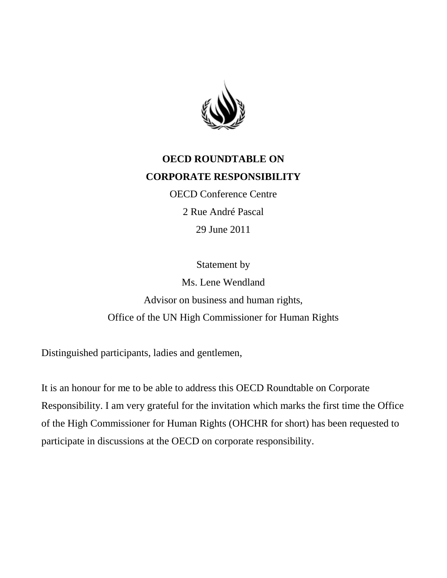

## **OECD ROUNDTABLE ON CORPORATE RESPONSIBILITY**

OECD Conference Centre 2 Rue André Pascal 29 June 2011

Statement by Ms. Lene Wendland Advisor on business and human rights, Office of the UN High Commissioner for Human Rights

Distinguished participants, ladies and gentlemen,

It is an honour for me to be able to address this OECD Roundtable on Corporate Responsibility. I am very grateful for the invitation which marks the first time the Office of the High Commissioner for Human Rights (OHCHR for short) has been requested to participate in discussions at the OECD on corporate responsibility.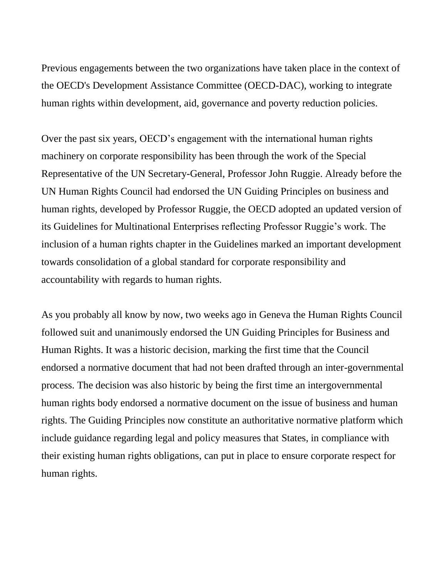Previous engagements between the two organizations have taken place in the context of the OECD's Development Assistance Committee (OECD-DAC), working to integrate human rights within development, aid, governance and poverty reduction policies.

Over the past six years, OECD's engagement with the international human rights machinery on corporate responsibility has been through the work of the Special Representative of the UN Secretary-General, Professor John Ruggie. Already before the UN Human Rights Council had endorsed the UN Guiding Principles on business and human rights, developed by Professor Ruggie, the OECD adopted an updated version of its Guidelines for Multinational Enterprises reflecting Professor Ruggie's work. The inclusion of a human rights chapter in the Guidelines marked an important development towards consolidation of a global standard for corporate responsibility and accountability with regards to human rights.

As you probably all know by now, two weeks ago in Geneva the Human Rights Council followed suit and unanimously endorsed the UN Guiding Principles for Business and Human Rights. It was a historic decision, marking the first time that the Council endorsed a normative document that had not been drafted through an inter-governmental process. The decision was also historic by being the first time an intergovernmental human rights body endorsed a normative document on the issue of business and human rights. The Guiding Principles now constitute an authoritative normative platform which include guidance regarding legal and policy measures that States, in compliance with their existing human rights obligations, can put in place to ensure corporate respect for human rights.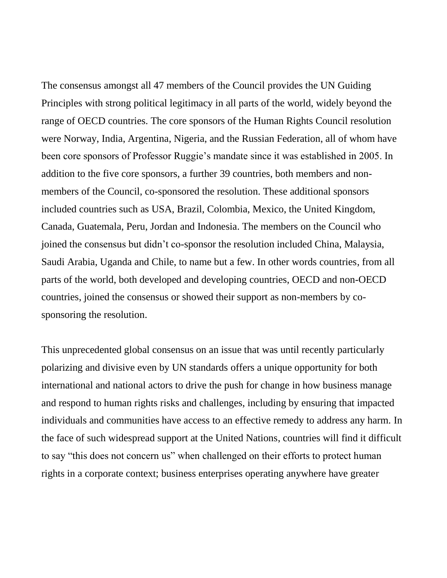The consensus amongst all 47 members of the Council provides the UN Guiding Principles with strong political legitimacy in all parts of the world, widely beyond the range of OECD countries. The core sponsors of the Human Rights Council resolution were Norway, India, Argentina, Nigeria, and the Russian Federation, all of whom have been core sponsors of Professor Ruggie's mandate since it was established in 2005. In addition to the five core sponsors, a further 39 countries, both members and nonmembers of the Council, co-sponsored the resolution. These additional sponsors included countries such as USA, Brazil, Colombia, Mexico, the United Kingdom, Canada, Guatemala, Peru, Jordan and Indonesia. The members on the Council who joined the consensus but didn't co-sponsor the resolution included China, Malaysia, Saudi Arabia, Uganda and Chile, to name but a few. In other words countries, from all parts of the world, both developed and developing countries, OECD and non-OECD countries, joined the consensus or showed their support as non-members by cosponsoring the resolution.

This unprecedented global consensus on an issue that was until recently particularly polarizing and divisive even by UN standards offers a unique opportunity for both international and national actors to drive the push for change in how business manage and respond to human rights risks and challenges, including by ensuring that impacted individuals and communities have access to an effective remedy to address any harm. In the face of such widespread support at the United Nations, countries will find it difficult to say "this does not concern us" when challenged on their efforts to protect human rights in a corporate context; business enterprises operating anywhere have greater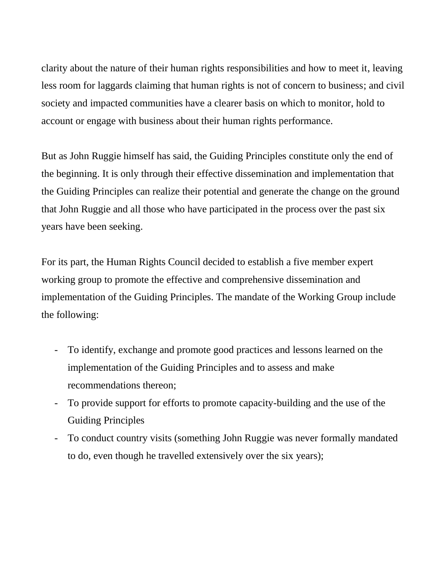clarity about the nature of their human rights responsibilities and how to meet it, leaving less room for laggards claiming that human rights is not of concern to business; and civil society and impacted communities have a clearer basis on which to monitor, hold to account or engage with business about their human rights performance.

But as John Ruggie himself has said, the Guiding Principles constitute only the end of the beginning. It is only through their effective dissemination and implementation that the Guiding Principles can realize their potential and generate the change on the ground that John Ruggie and all those who have participated in the process over the past six years have been seeking.

For its part, the Human Rights Council decided to establish a five member expert working group to promote the effective and comprehensive dissemination and implementation of the Guiding Principles. The mandate of the Working Group include the following:

- To identify, exchange and promote good practices and lessons learned on the implementation of the Guiding Principles and to assess and make recommendations thereon;
- To provide support for efforts to promote capacity-building and the use of the Guiding Principles
- To conduct country visits (something John Ruggie was never formally mandated to do, even though he travelled extensively over the six years);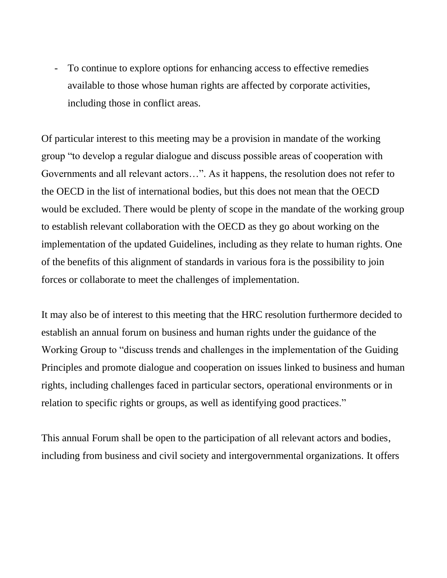- To continue to explore options for enhancing access to effective remedies available to those whose human rights are affected by corporate activities, including those in conflict areas.

Of particular interest to this meeting may be a provision in mandate of the working group "to develop a regular dialogue and discuss possible areas of cooperation with Governments and all relevant actors…". As it happens, the resolution does not refer to the OECD in the list of international bodies, but this does not mean that the OECD would be excluded. There would be plenty of scope in the mandate of the working group to establish relevant collaboration with the OECD as they go about working on the implementation of the updated Guidelines, including as they relate to human rights. One of the benefits of this alignment of standards in various fora is the possibility to join forces or collaborate to meet the challenges of implementation.

It may also be of interest to this meeting that the HRC resolution furthermore decided to establish an annual forum on business and human rights under the guidance of the Working Group to "discuss trends and challenges in the implementation of the Guiding Principles and promote dialogue and cooperation on issues linked to business and human rights, including challenges faced in particular sectors, operational environments or in relation to specific rights or groups, as well as identifying good practices."

This annual Forum shall be open to the participation of all relevant actors and bodies, including from business and civil society and intergovernmental organizations. It offers